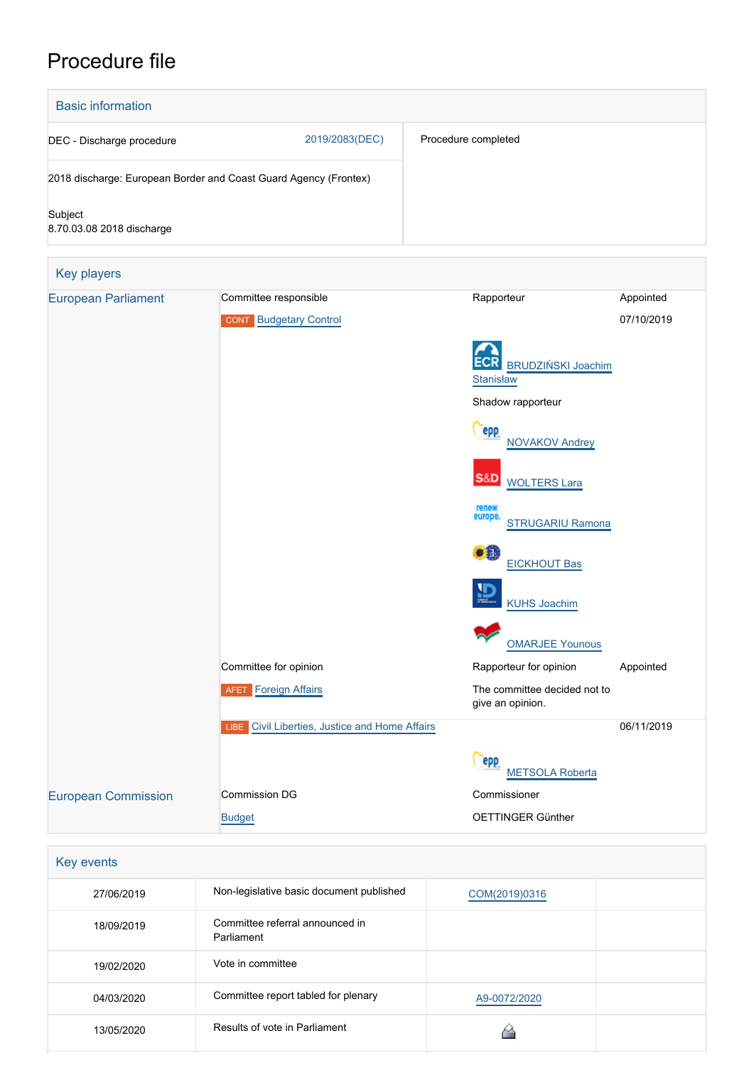# Procedure file



| 27/06/2019 | Non-legislative basic document published      | COM(2019)0316 |  |
|------------|-----------------------------------------------|---------------|--|
| 18/09/2019 | Committee referral announced in<br>Parliament |               |  |
| 19/02/2020 | Vote in committee                             |               |  |
| 04/03/2020 | Committee report tabled for plenary           | A9-0072/2020  |  |
| 13/05/2020 | Results of vote in Parliament                 |               |  |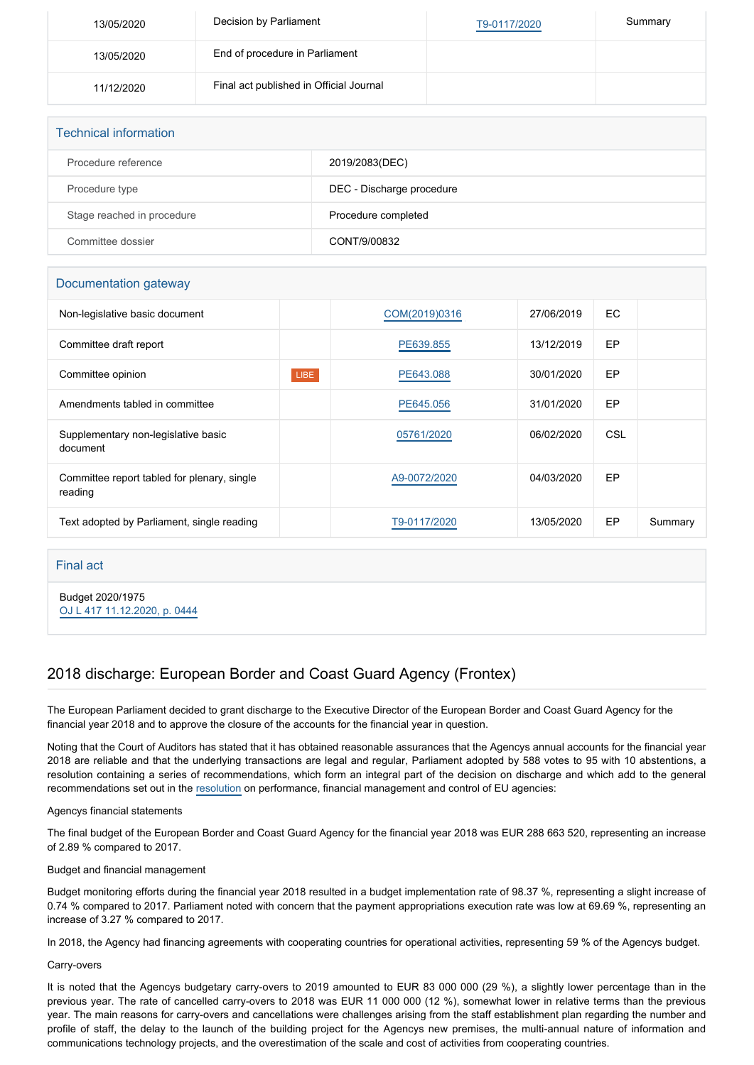| 13/05/2020 | Decision by Parliament                  | T9-0117/2020 | Summary |
|------------|-----------------------------------------|--------------|---------|
| 13/05/2020 | End of procedure in Parliament          |              |         |
| 11/12/2020 | Final act published in Official Journal |              |         |

| <b>Technical information</b> |                           |  |  |  |
|------------------------------|---------------------------|--|--|--|
| Procedure reference          | 2019/2083(DEC)            |  |  |  |
| Procedure type               | DEC - Discharge procedure |  |  |  |
| Stage reached in procedure   | Procedure completed       |  |  |  |
| Committee dossier            | CONT/9/00832              |  |  |  |

## Documentation gateway

| Non-legislative basic document                         |      | COM(2019)0316 | 27/06/2019 | EC. |         |
|--------------------------------------------------------|------|---------------|------------|-----|---------|
| Committee draft report                                 |      | PE639.855     | 13/12/2019 | EP  |         |
| Committee opinion                                      | LIBE | PE643,088     | 30/01/2020 | EP  |         |
| Amendments tabled in committee                         |      | PE645.056     | 31/01/2020 | EP  |         |
| Supplementary non-legislative basic<br>document        |      | 05761/2020    | 06/02/2020 | CSL |         |
| Committee report tabled for plenary, single<br>reading |      | A9-0072/2020  | 04/03/2020 | EP  |         |
| Text adopted by Parliament, single reading             |      | T9-0117/2020  | 13/05/2020 | EP  | Summary |

## Final act

Budget 2020/1975 [OJ L 417 11.12.2020, p. 0444](https://eur-lex.europa.eu/legal-content/EN/TXT/?uri=OJ:L:2020:417:TOC)

# 2018 discharge: European Border and Coast Guard Agency (Frontex)

The European Parliament decided to grant discharge to the Executive Director of the European Border and Coast Guard Agency for the financial year 2018 and to approve the closure of the accounts for the financial year in question.

Noting that the Court of Auditors has stated that it has obtained reasonable assurances that the Agencys annual accounts for the financial year 2018 are reliable and that the underlying transactions are legal and regular, Parliament adopted by 588 votes to 95 with 10 abstentions, a resolution containing a series of recommendations, which form an integral part of the decision on discharge and which add to the general recommendations set out in the [resolution](https://oeil.secure.europarl.europa.eu/oeil/popups/ficheprocedure.do?lang=en&reference=2019/2098(DEC)) on performance, financial management and control of EU agencies:

#### Agencys financial statements

The final budget of the European Border and Coast Guard Agency for the financial year 2018 was EUR 288 663 520, representing an increase of 2.89 % compared to 2017.

#### Budget and financial management

Budget monitoring efforts during the financial year 2018 resulted in a budget implementation rate of 98.37 %, representing a slight increase of 0.74 % compared to 2017. Parliament noted with concern that the payment appropriations execution rate was low at 69.69 %, representing an increase of 3.27 % compared to 2017.

In 2018, the Agency had financing agreements with cooperating countries for operational activities, representing 59 % of the Agencys budget.

#### Carry-overs

It is noted that the Agencys budgetary carry-overs to 2019 amounted to EUR 83 000 000 (29 %), a slightly lower percentage than in the previous year. The rate of cancelled carry-overs to 2018 was EUR 11 000 000 (12 %), somewhat lower in relative terms than the previous year. The main reasons for carry-overs and cancellations were challenges arising from the staff establishment plan regarding the number and profile of staff, the delay to the launch of the building project for the Agencys new premises, the multi-annual nature of information and communications technology projects, and the overestimation of the scale and cost of activities from cooperating countries.